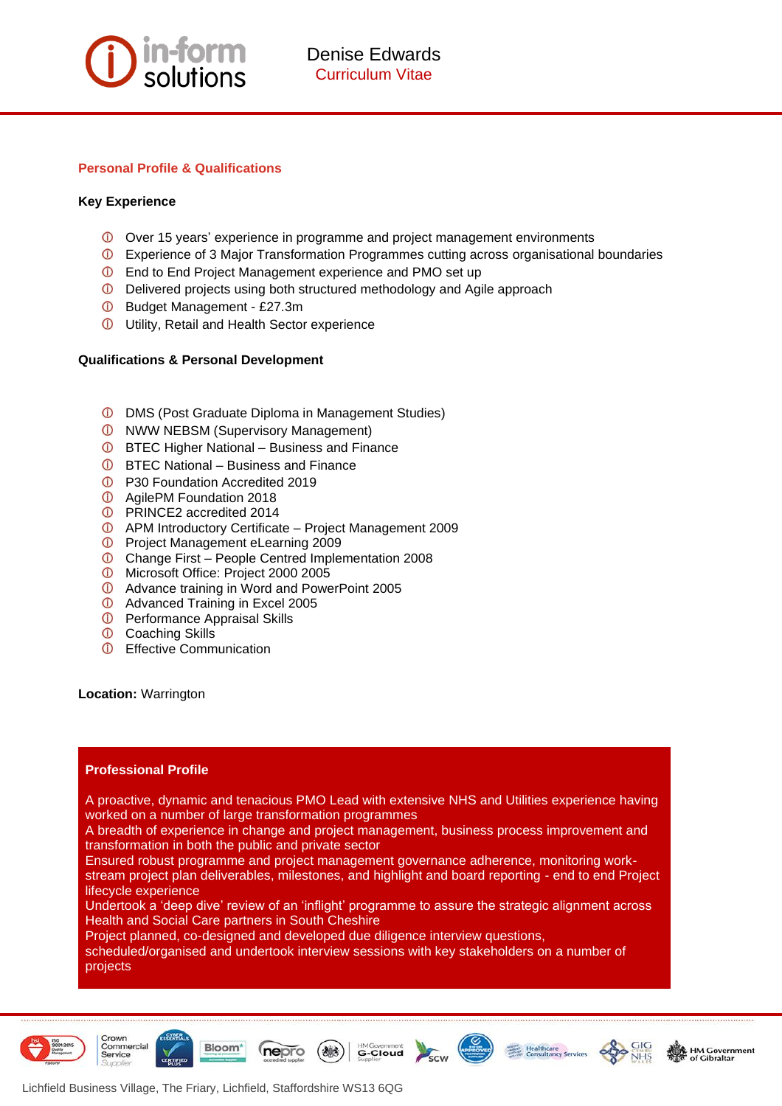

### **Personal Profile & Qualifications**

### **Key Experience**

- Over 15 years' experience in programme and project management environments
- Experience of 3 Major Transformation Programmes cutting across organisational boundaries
- **C** End to End Project Management experience and PMO set up
- Delivered projects using both structured methodology and Agile approach
- Budget Management £27.3m
- **D** Utility, Retail and Health Sector experience

### **Qualifications & Personal Development**

- **D** DMS (Post Graduate Diploma in Management Studies)
- **ID** NWW NEBSM (Supervisory Management)
- **C** BTEC Higher National Business and Finance
- **C** BTEC National Business and Finance
- **D** P30 Foundation Accredited 2019
- **C** AgilePM Foundation 2018
- **C** PRINCE2 accredited 2014
- APM Introductory Certificate Project Management 2009
- **D** Project Management eLearning 2009
- Change First People Centred Implementation 2008
- **D** Microsoft Office: Project 2000 2005
- **D** Advance training in Word and PowerPoint 2005
- **C** Advanced Training in Excel 2005
- **D** Performance Appraisal Skills
- Coaching Skills
- **C** Effective Communication

**Location:** Warrington

# **Professional Profile**

A proactive, dynamic and tenacious PMO Lead with extensive NHS and Utilities experience having worked on a number of large transformation programmes

A breadth of experience in change and project management, business process improvement and transformation in both the public and private sector

Ensured robust programme and project management governance adherence, monitoring workstream project plan deliverables, milestones, and highlight and board reporting - end to end Project lifecycle experience

Undertook a 'deep dive' review of an 'inflight' programme to assure the strategic alignment across Health and Social Care partners in South Cheshire

**HMGovernment**<br>G-Cloud

Project planned, co-designed and developed due diligence interview questions,

scheduled/organised and undertook interview sessions with key stakeholders on a number of projects











Bloom<sup>\*</sup>

nepro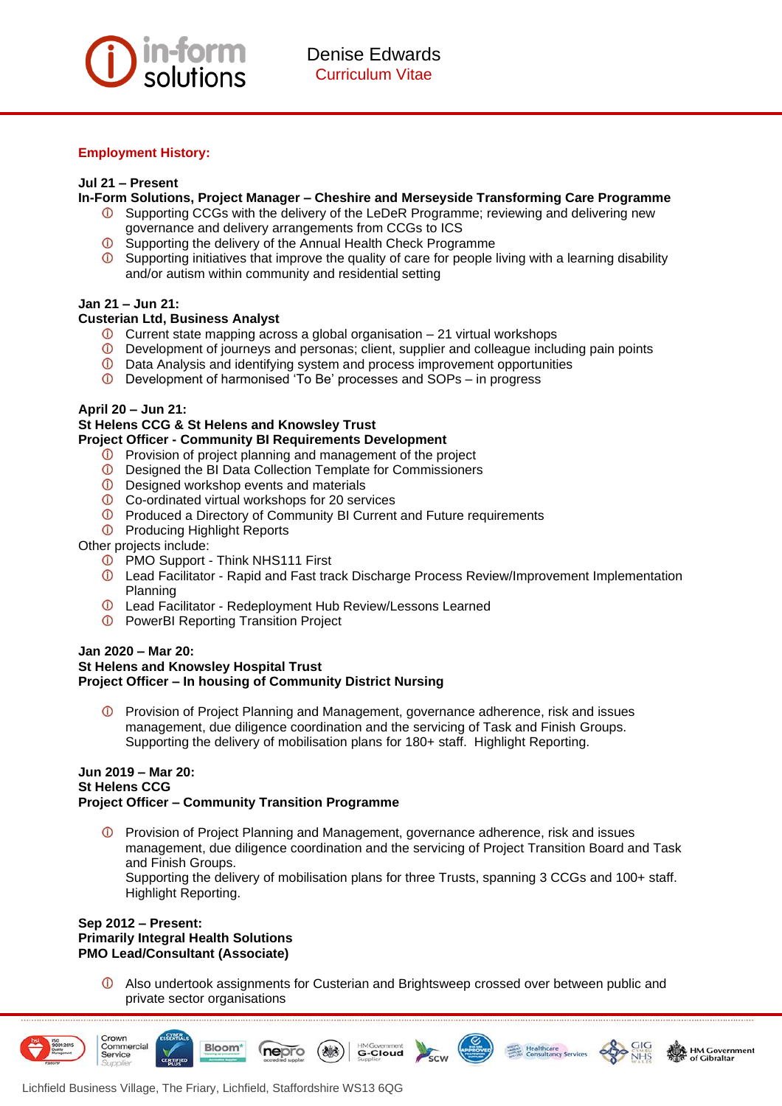

# **Employment History:**

### **Jul 21 – Present**

- **In-Form Solutions, Project Manager – Cheshire and Merseyside Transforming Care Programme**
	- Supporting CCGs with the delivery of the LeDeR Programme; reviewing and delivering new governance and delivery arrangements from CCGs to ICS
	- $\odot$ Supporting the delivery of the Annual Health Check Programme
	- $\bullet$  Supporting initiatives that improve the quality of care for people living with a learning disability and/or autism within community and residential setting

### **Jan 21 – Jun 21:**

### **Custerian Ltd, Business Analyst**

- $\overline{0}$  Current state mapping across a global organisation 21 virtual workshops
- Development of journeys and personas; client, supplier and colleague including pain points
- **D** Data Analysis and identifying system and process improvement opportunities
- Development of harmonised 'To Be' processes and SOPs in progress

### **April 20 – Jun 21:**

# **St Helens CCG & St Helens and Knowsley Trust**

### **Project Officer - Community BI Requirements Development**

- **C** Provision of project planning and management of the project
- Designed the BI Data Collection Template for Commissioners
- **D** Designed workshop events and materials
- Co-ordinated virtual workshops for 20 services
- **D** Produced a Directory of Community BI Current and Future requirements
- **D** Producing Highlight Reports

Other projects include:

- **D** PMO Support Think NHS111 First
- Lead Facilitator Rapid and Fast track Discharge Process Review/Improvement Implementation Planning
- Lead Facilitator Redeployment Hub Review/Lessons Learned
- **D** PowerBI Reporting Transition Project

#### **Jan 2020 – Mar 20: St Helens and Knowsley Hospital Trust Project Officer – In housing of Community District Nursing**

**D** Provision of Project Planning and Management, governance adherence, risk and issues management, due diligence coordination and the servicing of Task and Finish Groups. Supporting the delivery of mobilisation plans for 180+ staff. Highlight Reporting.

### **Jun 2019 – Mar 20: St Helens CCG Project Officer – Community Transition Programme**

Provision of Project Planning and Management, governance adherence, risk and issues management, due diligence coordination and the servicing of Project Transition Board and Task and Finish Groups.

Supporting the delivery of mobilisation plans for three Trusts, spanning 3 CCGs and 100+ staff. Highlight Reporting.

### **Sep 2012 – Present: Primarily Integral Health Solutions PMO Lead/Consultant (Associate)**

Also undertook assignments for Custerian and Brightsweep crossed over between public and private sector organisations

**HM Government** 

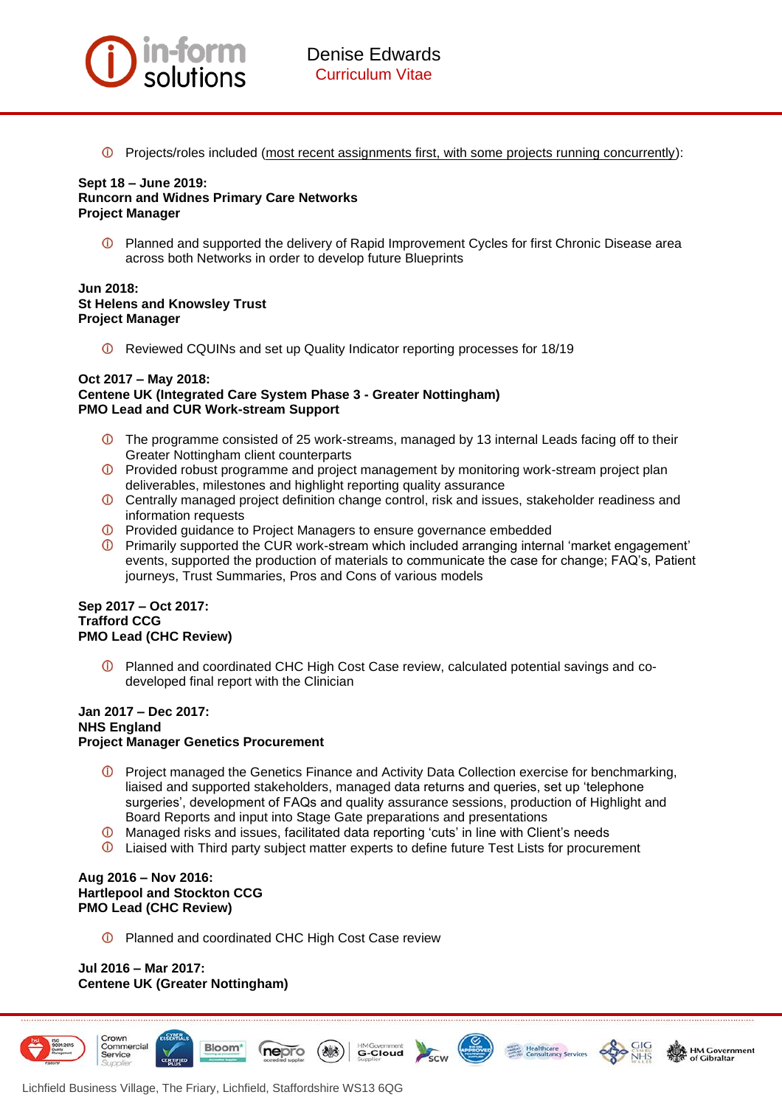

Projects/roles included (most recent assignments first, with some projects running concurrently):

## **Sept 18 – June 2019: Runcorn and Widnes Primary Care Networks Project Manager**

Planned and supported the delivery of Rapid Improvement Cycles for first Chronic Disease area across both Networks in order to develop future Blueprints

### **Jun 2018: St Helens and Knowsley Trust Project Manager**

Reviewed CQUINs and set up Quality Indicator reporting processes for 18/19

#### **Oct 2017 – May 2018: Centene UK (Integrated Care System Phase 3 - Greater Nottingham) PMO Lead and CUR Work-stream Support**

- The programme consisted of 25 work-streams, managed by 13 internal Leads facing off to their Greater Nottingham client counterparts
- Provided robust programme and project management by monitoring work-stream project plan deliverables, milestones and highlight reporting quality assurance
- Centrally managed project definition change control, risk and issues, stakeholder readiness and information requests
- **D** Provided guidance to Project Managers to ensure governance embedded
- Primarily supported the CUR work-stream which included arranging internal 'market engagement' events, supported the production of materials to communicate the case for change; FAQ's, Patient journeys, Trust Summaries, Pros and Cons of various models

### **Sep 2017 – Oct 2017: Trafford CCG PMO Lead (CHC Review)**

Planned and coordinated CHC High Cost Case review, calculated potential savings and codeveloped final report with the Clinician

# **Jan 2017 – Dec 2017: NHS England Project Manager Genetics Procurement**

- **D** Project managed the Genetics Finance and Activity Data Collection exercise for benchmarking, liaised and supported stakeholders, managed data returns and queries, set up 'telephone surgeries', development of FAQs and quality assurance sessions, production of Highlight and Board Reports and input into Stage Gate preparations and presentations
- Managed risks and issues, facilitated data reporting 'cuts' in line with Client's needs
- Liaised with Third party subject matter experts to define future Test Lists for procurement

**G-Cloud** 

### **Aug 2016 – Nov 2016: Hartlepool and Stockton CCG PMO Lead (CHC Review)**

**C** Planned and coordinated CHC High Cost Case review

nepro

# **Jul 2016 – Mar 2017: Centene UK (Greater Nottingham)**









**Bloom**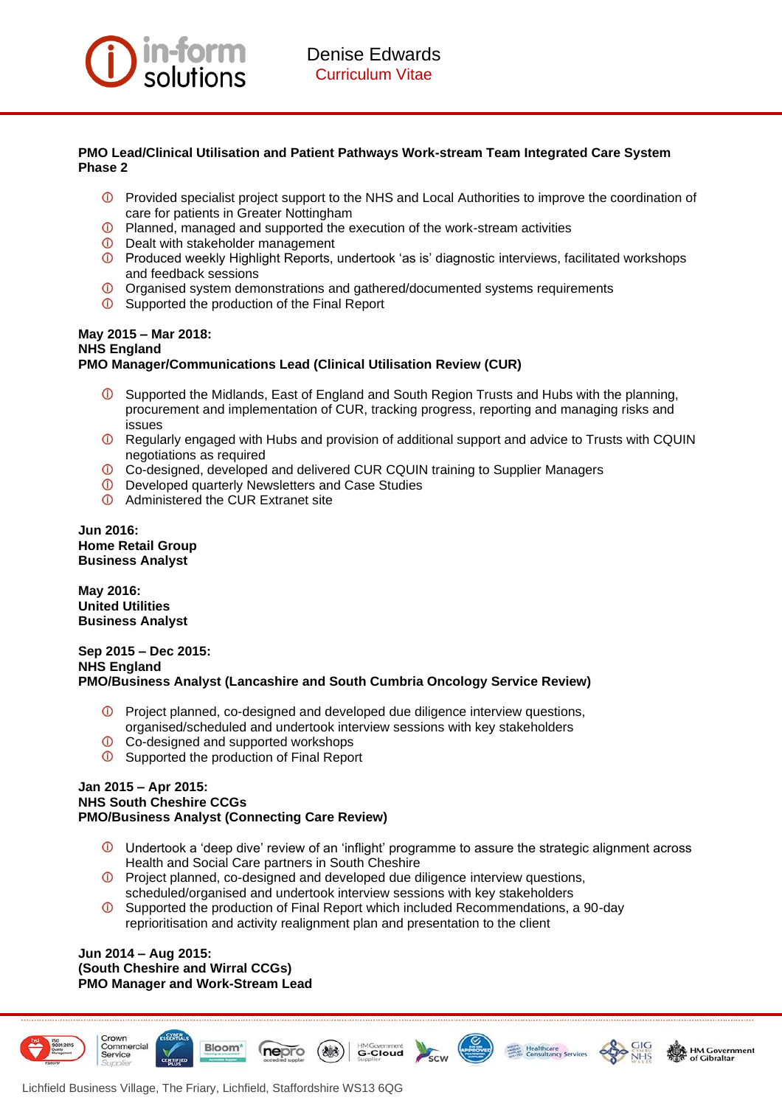

# **PMO Lead/Clinical Utilisation and Patient Pathways Work-stream Team Integrated Care System Phase 2**

- **D** Provided specialist project support to the NHS and Local Authorities to improve the coordination of care for patients in Greater Nottingham
- $\bigcap$ Planned, managed and supported the execution of the work-stream activities
- **D** Dealt with stakeholder management
- **D** Produced weekly Highlight Reports, undertook 'as is' diagnostic interviews, facilitated workshops and feedback sessions
- Organised system demonstrations and gathered/documented systems requirements
- **O** Supported the production of the Final Report

#### **May 2015 – Mar 2018: NHS England PMO Manager/Communications Lead (Clinical Utilisation Review (CUR)**

- $\overline{O}$  Supported the Midlands, East of England and South Region Trusts and Hubs with the planning, procurement and implementation of CUR, tracking progress, reporting and managing risks and issues
- Regularly engaged with Hubs and provision of additional support and advice to Trusts with CQUIN negotiations as required
- Co-designed, developed and delivered CUR CQUIN training to Supplier Managers
- **D** Developed quarterly Newsletters and Case Studies
- **C** Administered the CUR Extranet site

**Jun 2016: Home Retail Group Business Analyst** 

**May 2016: United Utilities Business Analyst**

## **Sep 2015 – Dec 2015: NHS England PMO/Business Analyst (Lancashire and South Cumbria Oncology Service Review)**

- Project planned, co-designed and developed due diligence interview questions, organised/scheduled and undertook interview sessions with key stakeholders
- **C** Co-designed and supported workshops
- **C** Supported the production of Final Report

## **Jan 2015 – Apr 2015: NHS South Cheshire CCGs PMO/Business Analyst (Connecting Care Review)**

- $\mathbb O$  Undertook a 'deep dive' review of an 'inflight' programme to assure the strategic alignment across Health and Social Care partners in South Cheshire
- Project planned, co-designed and developed due diligence interview questions, scheduled/organised and undertook interview sessions with key stakeholders
- $\odot$ Supported the production of Final Report which included Recommendations, a 90-day reprioritisation and activity realignment plan and presentation to the client

#### **Jun 2014 – Aug 2015: (South Cheshire and Wirral CCGs) PMO Manager and Work-Stream Lead**









Lichfield Business Village, The Friary, Lichfield, Staffordshire WS13 6QG

**Bloom** 

nepro